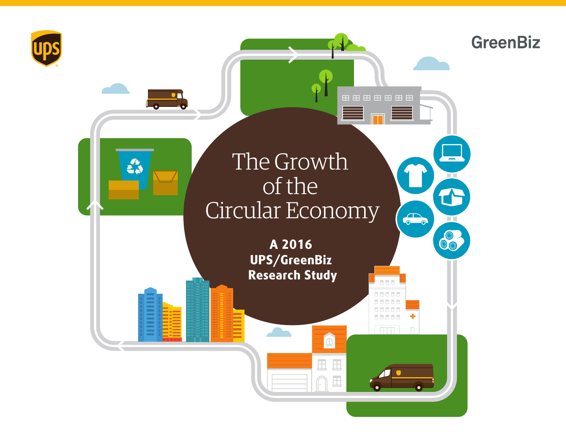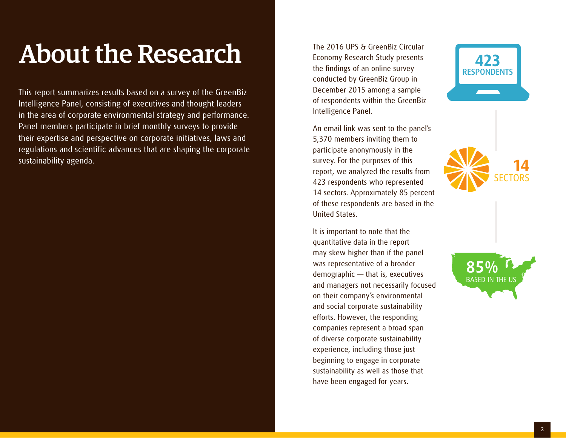### About the Research

This report summarizes results based on a survey of the GreenBiz Intelligence Panel, consisting of executives and thought leaders in the area of corporate environmental strategy and performance. Panel members participate in brief monthly surveys to provide their expertise and perspective on corporate initiatives, laws and regulations and scientific advances that are shaping the corporate sustainability agenda.

The 2016 UPS & GreenBiz Circular Economy Research Study presents the findings of an online survey conducted by GreenBiz Group in December 2015 among a sample of respondents within the GreenBiz Intelligence Panel.

An email link was sent to the panel's 5,370 members inviting them to participate anonymously in the survey. For the purposes of this report, we analyzed the results from 423 respondents who represented 14 sectors. Approximately 85 percent of these respondents are based in the United States.

It is important to note that the quantitative data in the report may skew higher than if the panel was representative of a broader demographic — that is, executives and managers not necessarily focused on their company's environmental and social corporate sustainability efforts. However, the responding companies represent a broad span of diverse corporate sustainability experience, including those just beginning to engage in corporate sustainability as well as those that have been engaged for years.





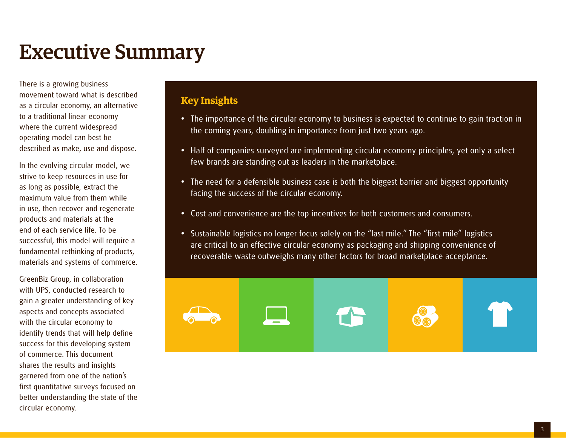### Executive Summary

There is a growing business movement toward what is described as a circular economy, an alternative to a traditional linear economy where the current widespread operating model can best be described as make, use and dispose.

In the evolving circular model, we strive to keep resources in use for as long as possible, extract the maximum value from them while in use, then recover and regenerate products and materials at the end of each service life. To be successful, this model will require a fundamental rethinking of products, materials and systems of commerce.

GreenBiz Group, in collaboration with UPS, conducted research to gain a greater understanding of key aspects and concepts associated with the circular economy to identify trends that will help define success for this developing system of commerce. This document shares the results and insights garnered from one of the nation's first quantitative surveys focused on better understanding the state of the circular economy.

#### **Key Insights**

- **•** The importance of the circular economy to business is expected to continue to gain traction in the coming years, doubling in importance from just two years ago.
- **•** Half of companies surveyed are implementing circular economy principles, yet only a select few brands are standing out as leaders in the marketplace.
- **•** The need for a defensible business case is both the biggest barrier and biggest opportunity facing the success of the circular economy.
- **•** Cost and convenience are the top incentives for both customers and consumers.
- Sustainable logistics no longer focus solely on the "last mile." The "first mile" logistics are critical to an effective circular economy as packaging and shipping convenience of recoverable waste outweighs many other factors for broad marketplace acceptance.

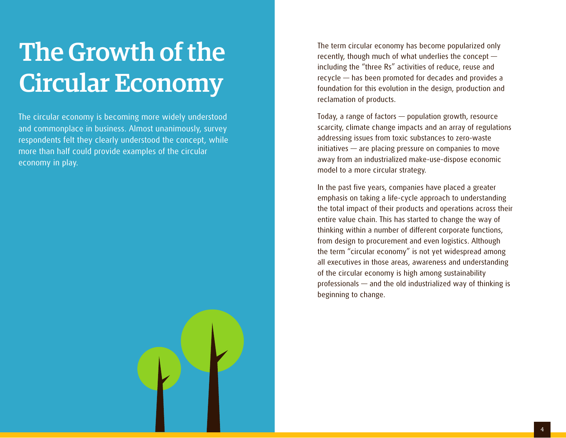### The Growth of the Circular Economy

The circular economy is becoming more widely understood and commonplace in business. Almost unanimously, survey respondents felt they clearly understood the concept, while more than half could provide examples of the circular economy in play.

The term circular economy has become popularized only recently, though much of what underlies the concept including the "three Rs" activities of reduce, reuse and recycle — has been promoted for decades and provides a foundation for this evolution in the design, production and reclamation of products.

Today, a range of factors — population growth, resource scarcity, climate change impacts and an array of regulations addressing issues from toxic substances to zero-waste initiatives — are placing pressure on companies to move away from an industrialized make-use-dispose economic model to a more circular strategy.

In the past five years, companies have placed a greater emphasis on taking a life-cycle approach to understanding the total impact of their products and operations across their entire value chain. This has started to change the way of thinking within a number of different corporate functions, from design to procurement and even logistics. Although the term "circular economy" is not yet widespread among all executives in those areas, awareness and understanding of the circular economy is high among sustainability professionals — and the old industrialized way of thinking is beginning to change.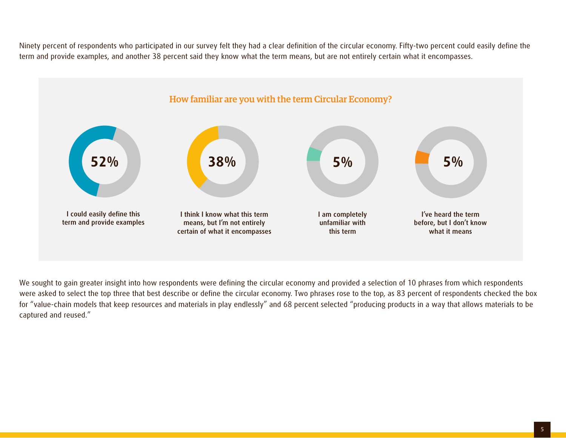Ninety percent of respondents who participated in our survey felt they had a clear definition of the circular economy. Fifty-two percent could easily define the term and provide examples, and another 38 percent said they know what the term means, but are not entirely certain what it encompasses.



We sought to gain greater insight into how respondents were defining the circular economy and provided a selection of 10 phrases from which respondents were asked to select the top three that best describe or define the circular economy. Two phrases rose to the top, as 83 percent of respondents checked the box for "value-chain models that keep resources and materials in play endlessly" and 68 percent selected "producing products in a way that allows materials to be captured and reused."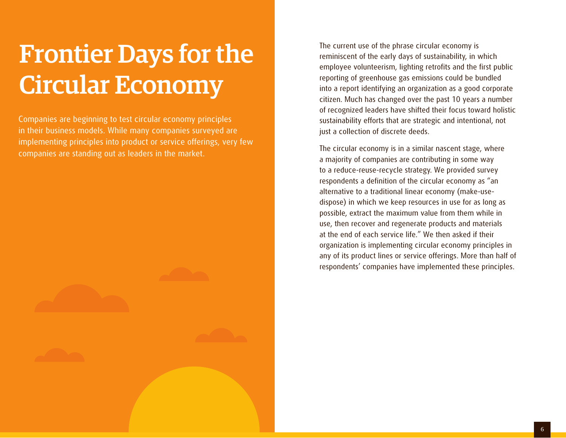### Frontier Days for the Circular Economy

Companies are beginning to test circular economy principles in their business models. While many companies surveyed are implementing principles into product or service offerings, very few companies are standing out as leaders in the market.

The current use of the phrase circular economy is reminiscent of the early days of sustainability, in which employee volunteerism, lighting retrofits and the first public reporting of greenhouse gas emissions could be bundled into a report identifying an organization as a good corporate citizen. Much has changed over the past 10 years a number of recognized leaders have shifted their focus toward holistic sustainability efforts that are strategic and intentional, not just a collection of discrete deeds.

The circular economy is in a similar nascent stage, where a majority of companies are contributing in some way to a reduce-reuse-recycle strategy. We provided survey respondents a definition of the circular economy as "an alternative to a traditional linear economy (make-usedispose) in which we keep resources in use for as long as possible, extract the maximum value from them while in use, then recover and regenerate products and materials at the end of each service life." We then asked if their organization is implementing circular economy principles in any of its product lines or service offerings. More than half of respondents' companies have implemented these principles.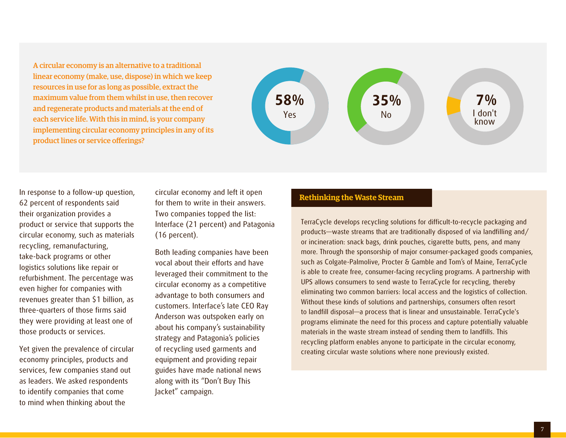A circular economy is an alternative to a traditional linear economy (make, use, dispose) in which we keep resources in use for as long as possible, extract the maximum value from them whilst in use, then recover and regenerate products and materials at the end of each service life. With this in mind, is your company implementing circular economy principles in any of its product lines or service offerings?



In response to a follow-up question, 62 percent of respondents said their organization provides a product or service that supports the circular economy, such as materials recycling, remanufacturing, take-back programs or other logistics solutions like repair or refurbishment. The percentage was even higher for companies with revenues greater than \$1 billion, as three-quarters of those firms said they were providing at least one of those products or services.

Yet given the prevalence of circular economy principles, products and services, few companies stand out as leaders. We asked respondents to identify companies that come to mind when thinking about the

circular economy and left it open for them to write in their answers. Two companies topped the list: Interface (21 percent) and Patagonia (16 percent).

Both leading companies have been vocal about their efforts and have leveraged their commitment to the circular economy as a competitive advantage to both consumers and customers. Interface's late CEO Ray Anderson was outspoken early on about his company's sustainability strategy and Patagonia's policies of recycling used garments and equipment and providing repair guides have made national news along with its "Don't Buy This Jacket" campaign.

#### **Rethinking the Waste Stream**

TerraCycle develops recycling solutions for difficult-to-recycle packaging and products—waste streams that are traditionally disposed of via landfilling and/ or incineration: snack bags, drink pouches, cigarette butts, pens, and many more. Through the sponsorship of major consumer-packaged goods companies, such as Colgate-Palmolive, Procter & Gamble and Tom's of Maine, TerraCycle is able to create free, consumer-facing recycling programs. A partnership with UPS allows consumers to send waste to TerraCycle for recycling, thereby eliminating two common barriers: local access and the logistics of collection. Without these kinds of solutions and partnerships, consumers often resort to landfill disposal—a process that is linear and unsustainable. TerraCycle's programs eliminate the need for this process and capture potentially valuable materials in the waste stream instead of sending them to landfills. This recycling platform enables anyone to participate in the circular economy, creating circular waste solutions where none previously existed.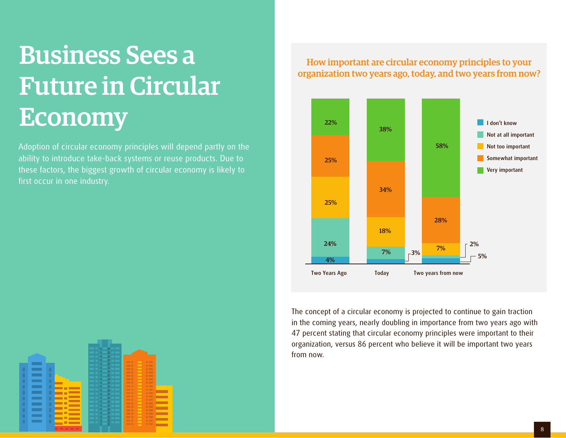## Business Sees a Future in Circular Economy

Adoption of circular economy principles will depend partly on the ability to introduce take-back systems or reuse products. Due to these factors, the biggest growth of circular economy is likely to first occur in one industry.

-

How important are circular economy principles to your organization two years ago, today, and two years from now?



The concept of a circular economy is projected to continue to gain traction in the coming years, nearly doubling in importance from two years ago with 47 percent stating that circular economy principles were important to their organization, versus 86 percent who believe it will be important two years from now.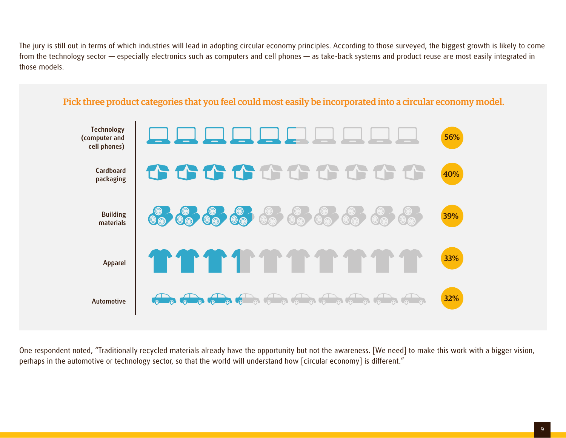The jury is still out in terms of which industries will lead in adopting circular economy principles. According to those surveyed, the biggest growth is likely to come from the technology sector — especially electronics such as computers and cell phones — as take-back systems and product reuse are most easily integrated in those models.



One respondent noted, "Traditionally recycled materials already have the opportunity but not the awareness. [We need] to make this work with a bigger vision, perhaps in the automotive or technology sector, so that the world will understand how [circular economy] is different."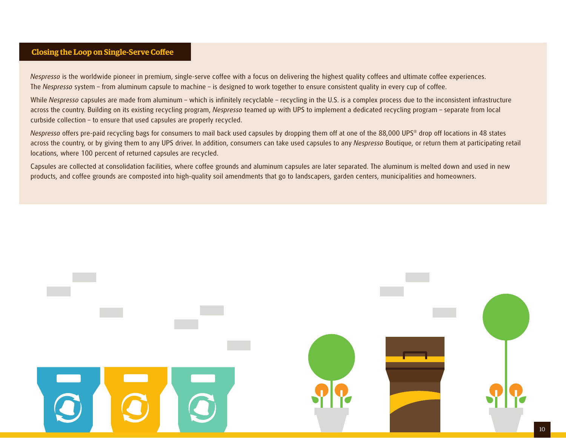#### **Closing the Loop on Single-Serve Coffee**

*Nespresso* is the worldwide pioneer in premium, single-serve coffee with a focus on delivering the highest quality coffees and ultimate coffee experiences. The *Nespresso* system – from aluminum capsule to machine – is designed to work together to ensure consistent quality in every cup of coffee.

While *Nespresso* capsules are made from aluminum – which is infinitely recyclable – recycling in the U.S. is a complex process due to the inconsistent infrastructure across the country. Building on its existing recycling program, *Nespresso* teamed up with UPS to implement a dedicated recycling program – separate from local curbside collection – to ensure that used capsules are properly recycled.

*Nespresso* offers pre-paid recycling bags for consumers to mail back used capsules by dropping them off at one of the 88,000 UPS® drop off locations in 48 states across the country, or by giving them to any UPS driver. In addition, consumers can take used capsules to any *Nespresso* Boutique, or return them at participating retail locations, where 100 percent of returned capsules are recycled.

Capsules are collected at consolidation facilities, where coffee grounds and aluminum capsules are later separated. The aluminum is melted down and used in new products, and coffee grounds are composted into high-quality soil amendments that go to landscapers, garden centers, municipalities and homeowners.

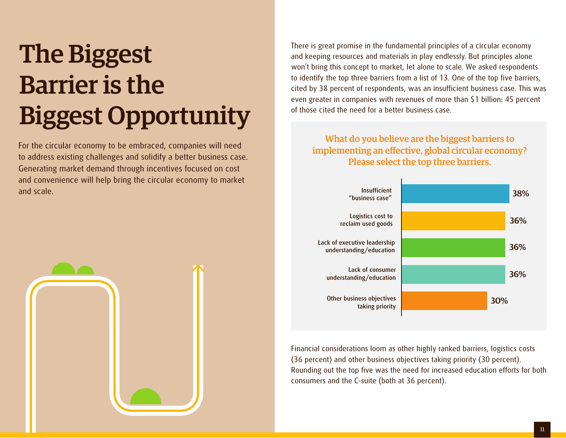# The Biggest Barrier is the Biggest Opportunity

For the circular economy to be embraced, companies will need to address existing challenges and solidify a better business case. Generating market demand through incentives focused on cost and convenience will help bring the circular economy to market and scale.



There is great promise in the fundamental principles of a circular economy and keeping resources and materials in play endlessly. But principles alone won't bring this concept to market, let alone to scale. We asked respondents to identify the top three barriers from a list of 13. One of the top five barriers, cited by 38 percent of respondents, was an insufficient business case. This was even greater in companies with revenues of more than \$1 billion: 45 percent of those cited the need for a better business case.

What do you believe are the biggest barriers to implementing an effective, global circular economy? Please select the top three barriers.



Financial considerations loom as other highly ranked barriers, logistics costs (36 percent) and other business objectives taking priority (30 percent). Rounding out the top five was the need for increased education efforts for both consumers and the C-suite (both at 36 percent).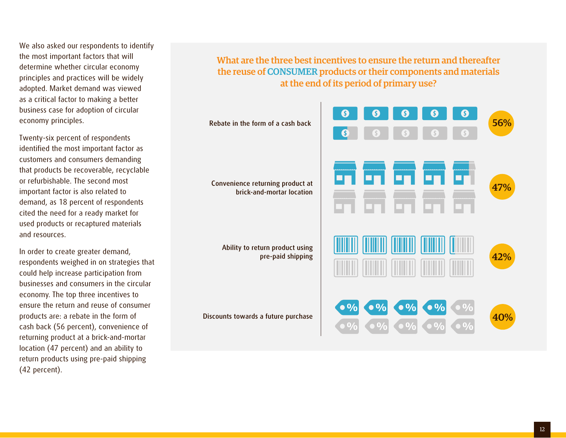We also asked our respondents to identify the most important factors that will determine whether circular economy principles and practices will be widely adopted. Market demand was viewed as a critical factor to making a better business case for adoption of circular economy principles.

Twenty-six percent of respondents identified the most important factor as customers and consumers demanding that products be recoverable, recyclable or refurbishable. The second most important factor is also related to demand, as 18 percent of respondents cited the need for a ready market for used products or recaptured materials and resources.

In order to create greater demand, respondents weighed in on strategies that could help increase participation from businesses and consumers in the circular economy. The top three incentives to ensure the return and reuse of consumer products are: a rebate in the form of cash back (56 percent), convenience of returning product at a brick-and-mortar location (47 percent) and an ability to return products using pre-paid shipping (42 percent).

What are the three best incentives to ensure the return and thereafter the reuse of CONSUMER products or their components and materials at the end of its period of primary use?

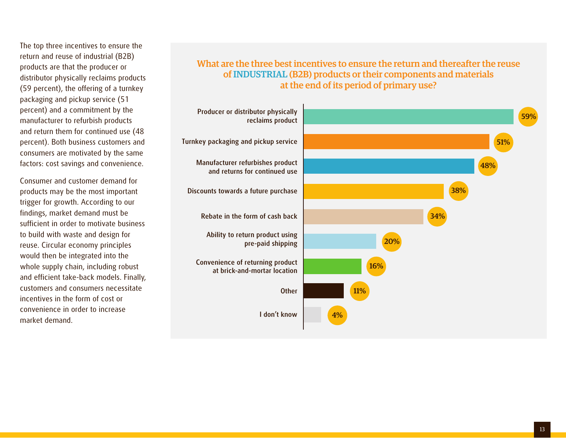The top three incentives to ensure the return and reuse of industrial (B2B) products are that the producer or distributor physically reclaims products (59 percent), the offering of a turnkey packaging and pickup service (51 percent) and a commitment by the manufacturer to refurbish products and return them for continued use (48 percent). Both business customers and consumers are motivated by the same factors: cost savings and convenience.

Consumer and customer demand for products may be the most important trigger for growth. According to our findings, market demand must be sufficient in order to motivate business to build with waste and design for reuse. Circular economy principles would then be integrated into the whole supply chain, including robust and efficient take-back models. Finally, customers and consumers necessitate incentives in the form of cost or convenience in order to increase market demand.

#### What are the three best incentives to ensure the return and thereafter the reuse of INDUSTRIAL (B2B) products or their components and materials at the end of its period of primary use?

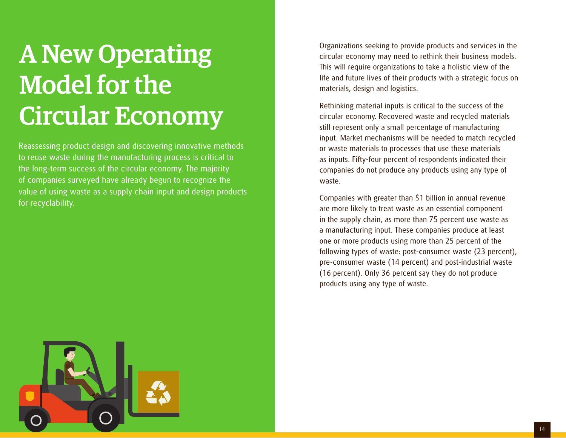## A New Operating Model for the Circular Economy

Reassessing product design and discovering innovative methods to reuse waste during the manufacturing process is critical to the long-term success of the circular economy. The majority of companies surveyed have already begun to recognize the value of using waste as a supply chain input and design products for recyclability.

Organizations seeking to provide products and services in the circular economy may need to rethink their business models. This will require organizations to take a holistic view of the life and future lives of their products with a strategic focus on materials, design and logistics.

Rethinking material inputs is critical to the success of the circular economy. Recovered waste and recycled materials still represent only a small percentage of manufacturing input. Market mechanisms will be needed to match recycled or waste materials to processes that use these materials as inputs. Fifty-four percent of respondents indicated their companies do not produce any products using any type of waste.

Companies with greater than \$1 billion in annual revenue are more likely to treat waste as an essential component in the supply chain, as more than 75 percent use waste as a manufacturing input. These companies produce at least one or more products using more than 25 percent of the following types of waste: post-consumer waste (23 percent), pre-consumer waste (14 percent) and post-industrial waste (16 percent). Only 36 percent say they do not produce products using any type of waste.

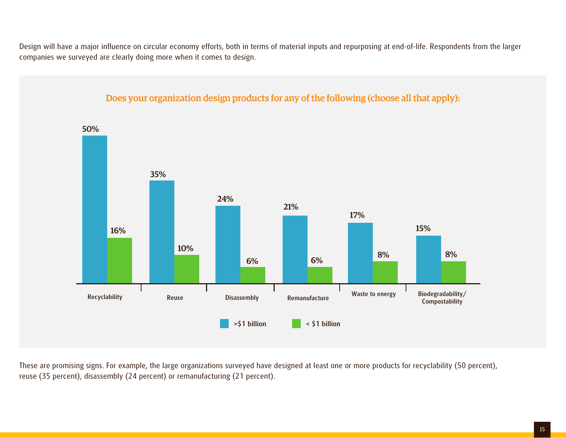Design will have a major influence on circular economy efforts, both in terms of material inputs and repurposing at end-of-life. Respondents from the larger companies we surveyed are clearly doing more when it comes to design.



These are promising signs. For example, the large organizations surveyed have designed at least one or more products for recyclability (50 percent), reuse (35 percent), disassembly (24 percent) or remanufacturing (21 percent).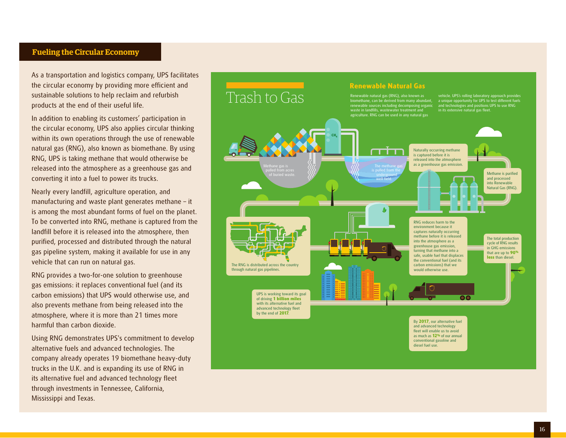#### **Fueling the Circular Economy**

As a transportation and logistics company, UPS facilitates the circular economy by providing more efficient and sustainable solutions to help reclaim and refurbish products at the end of their useful life.

In addition to enabling its customers' participation in the circular economy, UPS also applies circular thinking within its own operations through the use of renewable natural gas (RNG), also known as biomethane. By using RNG, UPS is taking methane that would otherwise be released into the atmosphere as a greenhouse gas and converting it into a fuel to power its trucks.

Nearly every landfill, agriculture operation, and manufacturing and waste plant generates methane – it is among the most abundant forms of fuel on the planet. To be converted into RNG, methane is captured from the landfill before it is released into the atmosphere, then purified, processed and distributed through the natural gas pipeline system, making it available for use in any vehicle that can run on natural gas.

RNG provides a two-for-one solution to greenhouse gas emissions: it replaces conventional fuel (and its carbon emissions) that UPS would otherwise use, and also prevents methane from being released into the atmosphere, where it is more than 21 times more harmful than carbon dioxide.

Using RNG demonstrates UPS's commitment to develop alternative fuels and advanced technologies. The company already operates 19 biomethane heavy-duty trucks in the U.K. and is expanding its use of RNG in its alternative fuel and advanced technology fleet through investments in Tennessee, California, Mississippi and Texas.

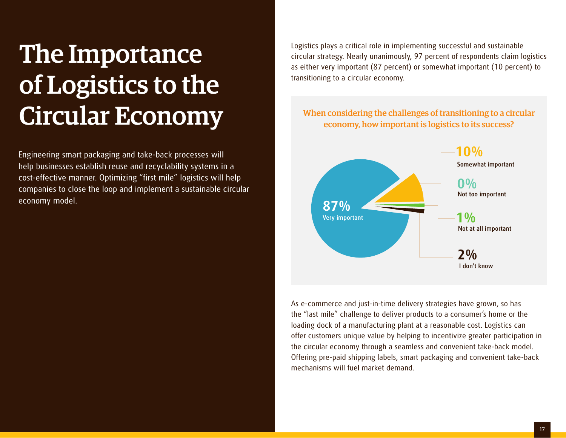## The Importance of Logistics to the Circular Economy

Engineering smart packaging and take-back processes will help businesses establish reuse and recyclability systems in a cost-effective manner. Optimizing "first mile" logistics will help companies to close the loop and implement a sustainable circular economy model.

Logistics plays a critical role in implementing successful and sustainable circular strategy. Nearly unanimously, 97 percent of respondents claim logistics as either very important (87 percent) or somewhat important (10 percent) to transitioning to a circular economy.

#### When considering the challenges of transitioning to a circular economy, how important is logistics to its success?



As e-commerce and just-in-time delivery strategies have grown, so has the "last mile" challenge to deliver products to a consumer's home or the loading dock of a manufacturing plant at a reasonable cost. Logistics can offer customers unique value by helping to incentivize greater participation in the circular economy through a seamless and convenient take-back model. Offering pre-paid shipping labels, smart packaging and convenient take-back mechanisms will fuel market demand.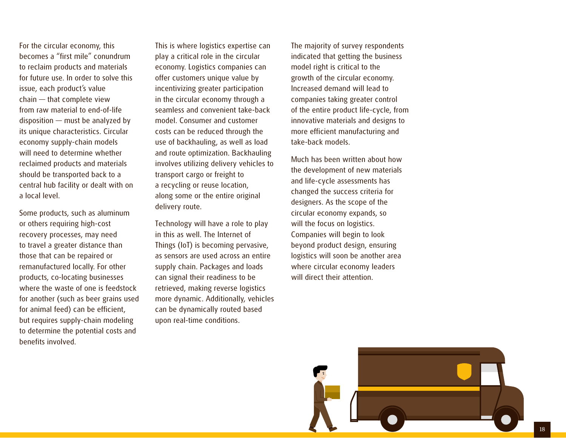For the circular economy, this becomes a "first mile" conundrum to reclaim products and materials for future use. In order to solve this issue, each product's value chain — that complete view from raw material to end-of-life disposition — must be analyzed by its unique characteristics. Circular economy supply-chain models will need to determine whether reclaimed products and materials should be transported back to a central hub facility or dealt with on a local level.

Some products, such as aluminum or others requiring high-cost recovery processes, may need to travel a greater distance than those that can be repaired or remanufactured locally. For other products, co-locating businesses where the waste of one is feedstock for another (such as beer grains used for animal feed) can be efficient, but requires supply-chain modeling to determine the potential costs and benefits involved.

This is where logistics expertise can play a critical role in the circular economy. Logistics companies can offer customers unique value by incentivizing greater participation in the circular economy through a seamless and convenient take-back model. Consumer and customer costs can be reduced through the use of backhauling, as well as load and route optimization. Backhauling involves utilizing delivery vehicles to transport cargo or freight to a recycling or reuse location, along some or the entire original delivery route.

Technology will have a role to play in this as well. The Internet of Things (IoT) is becoming pervasive, as sensors are used across an entire supply chain. Packages and loads can signal their readiness to be retrieved, making reverse logistics more dynamic. Additionally, vehicles can be dynamically routed based upon real-time conditions.

The majority of survey respondents indicated that getting the business model right is critical to the growth of the circular economy. Increased demand will lead to companies taking greater control of the entire product life-cycle, from innovative materials and designs to more efficient manufacturing and take-back models.

Much has been written about how the development of new materials and life-cycle assessments has changed the success criteria for designers. As the scope of the circular economy expands, so will the focus on logistics. Companies will begin to look beyond product design, ensuring logistics will soon be another area where circular economy leaders will direct their attention.